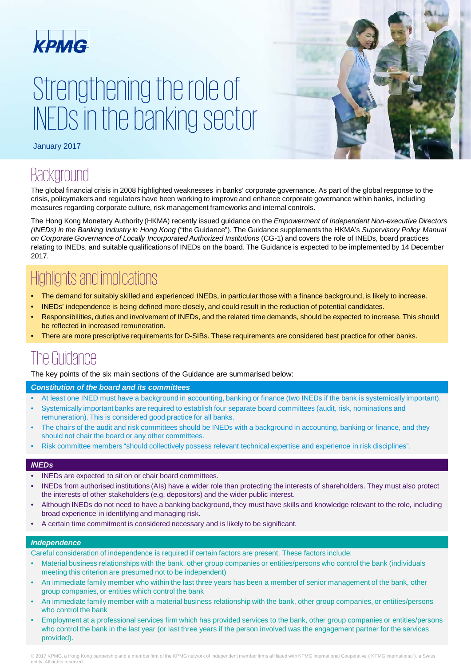

# Strengthening the role of INEDs in the banking sector



January 2017

### **Background**

The global financial crisis in 2008 highlighted weaknesses in banks' corporate governance. As part of the global response to the crisis, policymakers and regulators have been working to improve and enhance corporate governance within banks, including measures regarding corporate culture, risk management frameworks and internal controls.

The Hong Kong Monetary Authority (HKMA) recently issued guidance on the *Empowerment of Independent Non-executive Directors (INEDs) in the Banking Industry in Hong Kong* ("the Guidance"). The Guidance supplements the HKMA's *Supervisory Policy Manual on Corporate Governance of Locally Incorporated Authorized Institutions* (CG-1) and covers the role of INEDs, board practices relating to INEDs, and suitable qualifications of INEDs on the board. The Guidance is expected to be implemented by 14 December 2017.

### Highlights and implications

- The demand for suitably skilled and experienced INEDs, in particular those with a finance background, is likely to increase.
- INEDs' independence is being defined more closely, and could result in the reduction of potential candidates.
- Responsibilities, duties and involvement of INEDs, and the related time demands, should be expected to increase. This should be reflected in increased remuneration.
- There are more prescriptive requirements for D-SIBs. These requirements are considered best practice for other banks.

### The Guidance

The key points of the six main sections of the Guidance are summarised below:

### *Constitution of the board and its committees*

- At least one INED must have a background in accounting, banking or finance (two INEDs if the bank is systemically important).
- Systemically important banks are required to establish four separate board committees (audit, risk, nominations and remuneration). This is considered good practice for all banks.
- The chairs of the audit and risk committees should be INEDs with a background in accounting, banking or finance, and they should not chair the board or any other committees.
- Risk committee members "should collectively possess relevant technical expertise and experience in risk disciplines".

### *INEDs*

- INEDs are expected to sit on or chair board committees.
- INEDs from authorised institutions (AIs) have a wider role than protecting the interests of shareholders. They must also protect the interests of other stakeholders (e.g. depositors) and the wider public interest.
- Although INEDs do not need to have a banking background, they must have skills and knowledge relevant to the role, including broad experience in identifying and managing risk.
- A certain time commitment is considered necessary and is likely to be significant.

### *Independence*

- Careful consideration of independence is required if certain factors are present. These factors include:
- Material business relationships with the bank, other group companies or entities/persons who control the bank (individuals meeting this criterion are presumed not to be independent)
- An immediate family member who within the last three years has been a member of senior management of the bank, other group companies, or entities which control the bank
- An immediate family member with a material business relationship with the bank, other group companies, or entities/persons who control the bank
- Employment at a professional services firm which has provided services to the bank, other group companies or entities/persons who control the bank in the last year (or last three years if the person involved was the engagement partner for the services provided).

© 2017 KPMG, a Hong Kong partnership and a member firm of the KPMG network of independent member firms affiliated with KPMG International Cooperative ("KPMG International"), a Swiss entity. All rights reserved